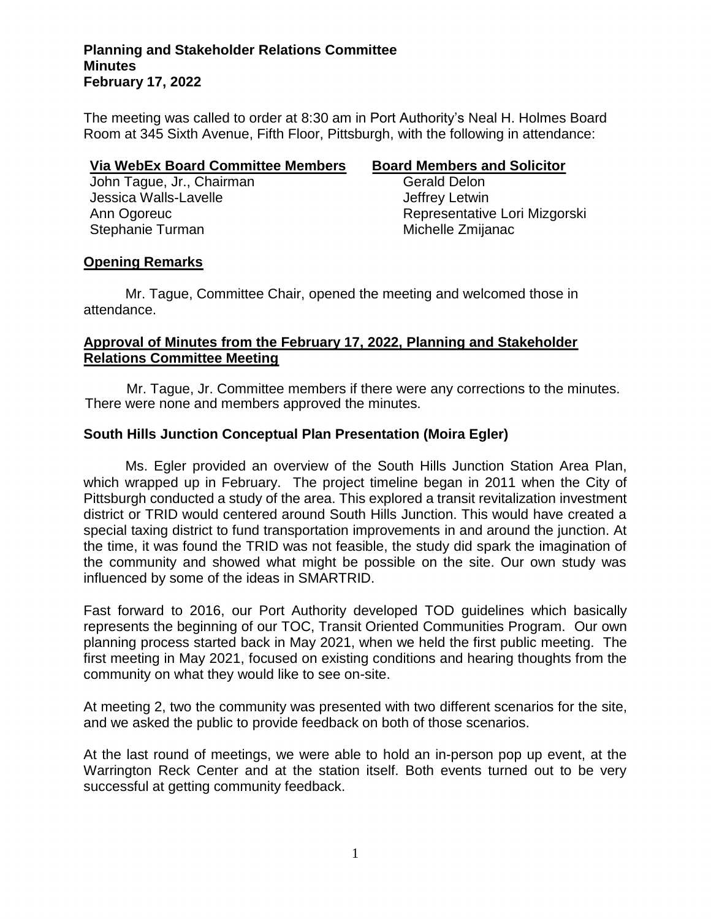The meeting was called to order at 8:30 am in Port Authority's Neal H. Holmes Board Room at 345 Sixth Avenue, Fifth Floor, Pittsburgh, with the following in attendance:

## **Via WebEx Board Committee Members Board Members and Solicitor**

John Tague, Jr., Chairman Gerald Delon Jessica Walls-Lavelle **Jeffrey Letwin** Stephanie Turman Michelle Zmijanac

Ann Ogoreuc Representative Lori Mizgorski

# **Opening Remarks**

Mr. Tague, Committee Chair, opened the meeting and welcomed those in attendance.

# **Approval of Minutes from the February 17, 2022, Planning and Stakeholder Relations Committee Meeting**

Mr. Tague, Jr. Committee members if there were any corrections to the minutes. There were none and members approved the minutes.

# **South Hills Junction Conceptual Plan Presentation (Moira Egler)**

Ms. Egler provided an overview of the South Hills Junction Station Area Plan, which wrapped up in February. The project timeline began in 2011 when the City of Pittsburgh conducted a study of the area. This explored a transit revitalization investment district or TRID would centered around South Hills Junction. This would have created a special taxing district to fund transportation improvements in and around the junction. At the time, it was found the TRID was not feasible, the study did spark the imagination of the community and showed what might be possible on the site. Our own study was influenced by some of the ideas in SMARTRID.

Fast forward to 2016, our Port Authority developed TOD guidelines which basically represents the beginning of our TOC, Transit Oriented Communities Program. Our own planning process started back in May 2021, when we held the first public meeting. The first meeting in May 2021, focused on existing conditions and hearing thoughts from the community on what they would like to see on-site.

At meeting 2, two the community was presented with two different scenarios for the site, and we asked the public to provide feedback on both of those scenarios.

At the last round of meetings, we were able to hold an in-person pop up event, at the Warrington Reck Center and at the station itself. Both events turned out to be very successful at getting community feedback.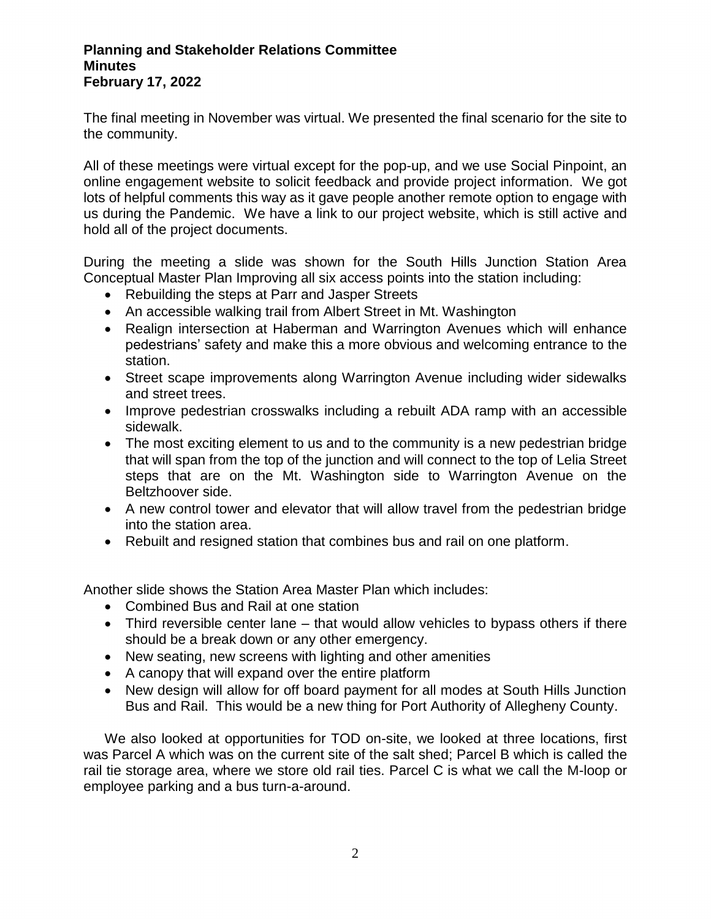The final meeting in November was virtual. We presented the final scenario for the site to the community.

All of these meetings were virtual except for the pop-up, and we use Social Pinpoint, an online engagement website to solicit feedback and provide project information. We got lots of helpful comments this way as it gave people another remote option to engage with us during the Pandemic. We have a link to our project website, which is still active and hold all of the project documents.

During the meeting a slide was shown for the South Hills Junction Station Area Conceptual Master Plan Improving all six access points into the station including:

- Rebuilding the steps at Parr and Jasper Streets
- An accessible walking trail from Albert Street in Mt. Washington
- Realign intersection at Haberman and Warrington Avenues which will enhance pedestrians' safety and make this a more obvious and welcoming entrance to the station.
- Street scape improvements along Warrington Avenue including wider sidewalks and street trees.
- Improve pedestrian crosswalks including a rebuilt ADA ramp with an accessible sidewalk.
- The most exciting element to us and to the community is a new pedestrian bridge that will span from the top of the junction and will connect to the top of Lelia Street steps that are on the Mt. Washington side to Warrington Avenue on the Beltzhoover side.
- A new control tower and elevator that will allow travel from the pedestrian bridge into the station area.
- Rebuilt and resigned station that combines bus and rail on one platform.

Another slide shows the Station Area Master Plan which includes:

- Combined Bus and Rail at one station
- Third reversible center lane that would allow vehicles to bypass others if there should be a break down or any other emergency.
- New seating, new screens with lighting and other amenities
- A canopy that will expand over the entire platform
- New design will allow for off board payment for all modes at South Hills Junction Bus and Rail. This would be a new thing for Port Authority of Allegheny County.

We also looked at opportunities for TOD on-site, we looked at three locations, first was Parcel A which was on the current site of the salt shed; Parcel B which is called the rail tie storage area, where we store old rail ties. Parcel C is what we call the M-loop or employee parking and a bus turn-a-around.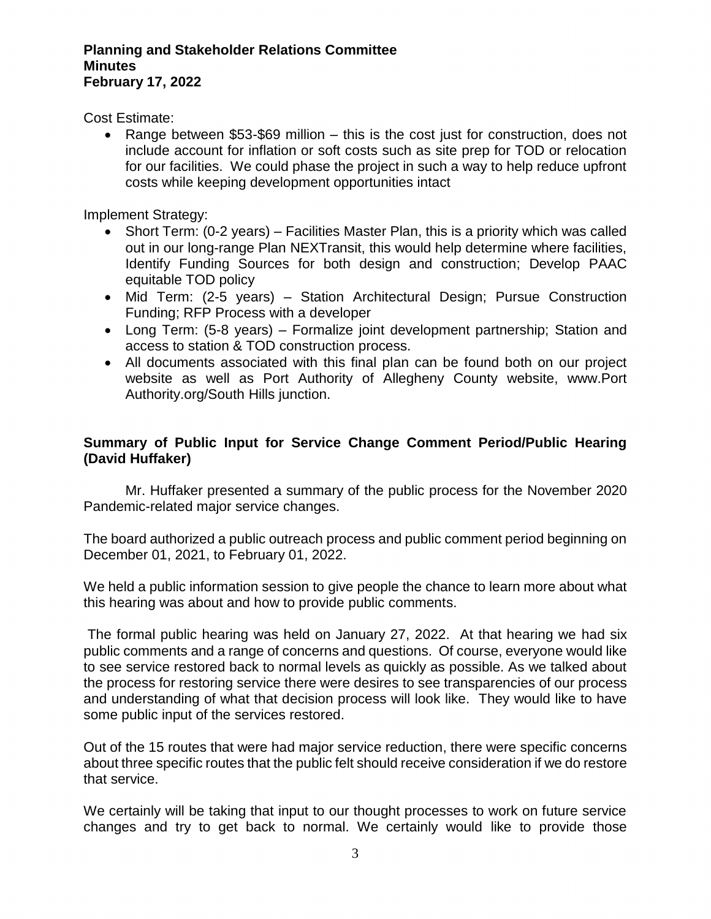Cost Estimate:

• Range between \$53-\$69 million – this is the cost just for construction, does not include account for inflation or soft costs such as site prep for TOD or relocation for our facilities. We could phase the project in such a way to help reduce upfront costs while keeping development opportunities intact

Implement Strategy:

- Short Term: (0-2 years) Facilities Master Plan, this is a priority which was called out in our long-range Plan NEXTransit, this would help determine where facilities, Identify Funding Sources for both design and construction; Develop PAAC equitable TOD policy
- Mid Term: (2-5 years) Station Architectural Design; Pursue Construction Funding; RFP Process with a developer
- Long Term: (5-8 years) Formalize joint development partnership; Station and access to station & TOD construction process.
- All documents associated with this final plan can be found both on our project website as well as Port Authority of Allegheny County website, www.Port Authority.org/South Hills junction.

# **Summary of Public Input for Service Change Comment Period/Public Hearing (David Huffaker)**

Mr. Huffaker presented a summary of the public process for the November 2020 Pandemic-related major service changes.

The board authorized a public outreach process and public comment period beginning on December 01, 2021, to February 01, 2022.

We held a public information session to give people the chance to learn more about what this hearing was about and how to provide public comments.

The formal public hearing was held on January 27, 2022. At that hearing we had six public comments and a range of concerns and questions. Of course, everyone would like to see service restored back to normal levels as quickly as possible. As we talked about the process for restoring service there were desires to see transparencies of our process and understanding of what that decision process will look like. They would like to have some public input of the services restored.

Out of the 15 routes that were had major service reduction, there were specific concerns about three specific routes that the public felt should receive consideration if we do restore that service.

We certainly will be taking that input to our thought processes to work on future service changes and try to get back to normal. We certainly would like to provide those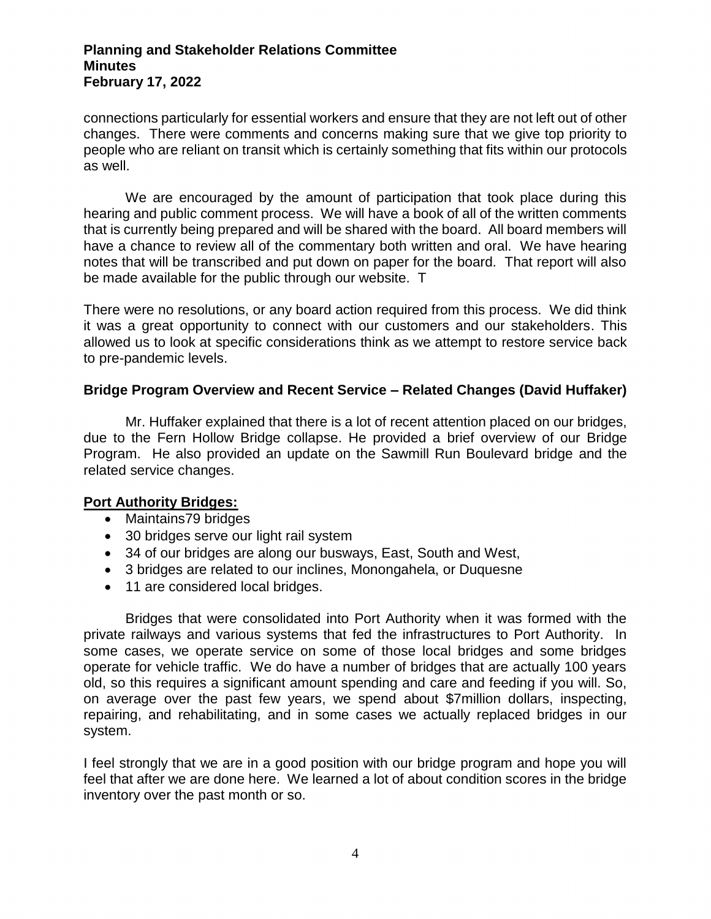connections particularly for essential workers and ensure that they are not left out of other changes. There were comments and concerns making sure that we give top priority to people who are reliant on transit which is certainly something that fits within our protocols as well.

We are encouraged by the amount of participation that took place during this hearing and public comment process. We will have a book of all of the written comments that is currently being prepared and will be shared with the board. All board members will have a chance to review all of the commentary both written and oral. We have hearing notes that will be transcribed and put down on paper for the board. That report will also be made available for the public through our website. T

There were no resolutions, or any board action required from this process. We did think it was a great opportunity to connect with our customers and our stakeholders. This allowed us to look at specific considerations think as we attempt to restore service back to pre-pandemic levels.

# **Bridge Program Overview and Recent Service – Related Changes (David Huffaker)**

Mr. Huffaker explained that there is a lot of recent attention placed on our bridges, due to the Fern Hollow Bridge collapse. He provided a brief overview of our Bridge Program. He also provided an update on the Sawmill Run Boulevard bridge and the related service changes.

# **Port Authority Bridges:**

- Maintains79 bridges
- 30 bridges serve our light rail system
- 34 of our bridges are along our busways, East, South and West,
- 3 bridges are related to our inclines, Monongahela, or Duquesne
- 11 are considered local bridges.

Bridges that were consolidated into Port Authority when it was formed with the private railways and various systems that fed the infrastructures to Port Authority. In some cases, we operate service on some of those local bridges and some bridges operate for vehicle traffic. We do have a number of bridges that are actually 100 years old, so this requires a significant amount spending and care and feeding if you will. So, on average over the past few years, we spend about \$7million dollars, inspecting, repairing, and rehabilitating, and in some cases we actually replaced bridges in our system.

I feel strongly that we are in a good position with our bridge program and hope you will feel that after we are done here. We learned a lot of about condition scores in the bridge inventory over the past month or so.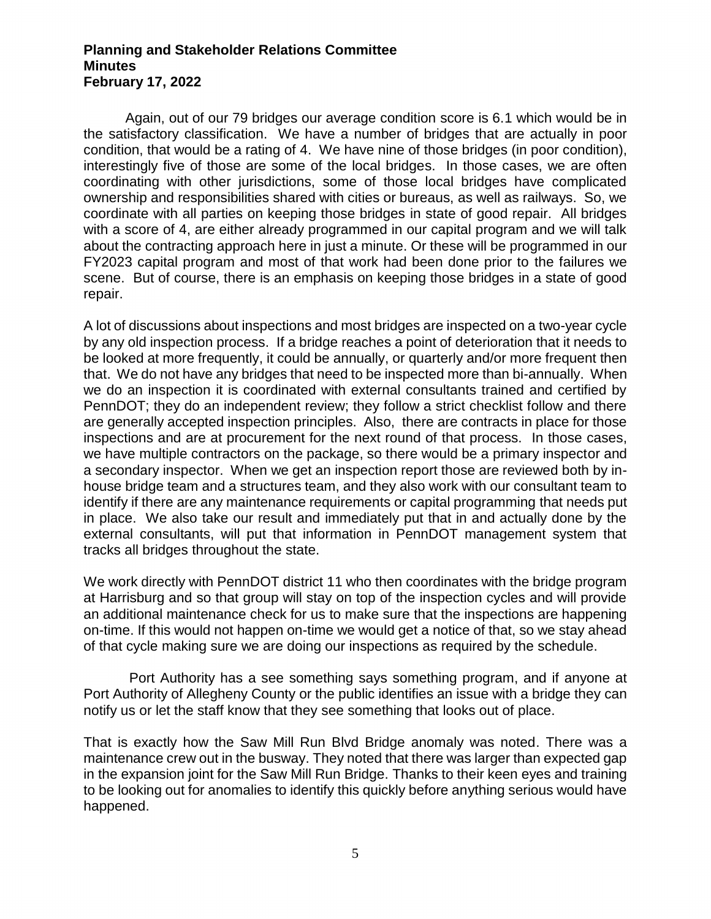Again, out of our 79 bridges our average condition score is 6.1 which would be in the satisfactory classification. We have a number of bridges that are actually in poor condition, that would be a rating of 4. We have nine of those bridges (in poor condition), interestingly five of those are some of the local bridges. In those cases, we are often coordinating with other jurisdictions, some of those local bridges have complicated ownership and responsibilities shared with cities or bureaus, as well as railways. So, we coordinate with all parties on keeping those bridges in state of good repair. All bridges with a score of 4, are either already programmed in our capital program and we will talk about the contracting approach here in just a minute. Or these will be programmed in our FY2023 capital program and most of that work had been done prior to the failures we scene. But of course, there is an emphasis on keeping those bridges in a state of good repair.

A lot of discussions about inspections and most bridges are inspected on a two-year cycle by any old inspection process. If a bridge reaches a point of deterioration that it needs to be looked at more frequently, it could be annually, or quarterly and/or more frequent then that. We do not have any bridges that need to be inspected more than bi-annually. When we do an inspection it is coordinated with external consultants trained and certified by PennDOT; they do an independent review; they follow a strict checklist follow and there are generally accepted inspection principles. Also, there are contracts in place for those inspections and are at procurement for the next round of that process. In those cases, we have multiple contractors on the package, so there would be a primary inspector and a secondary inspector. When we get an inspection report those are reviewed both by inhouse bridge team and a structures team, and they also work with our consultant team to identify if there are any maintenance requirements or capital programming that needs put in place. We also take our result and immediately put that in and actually done by the external consultants, will put that information in PennDOT management system that tracks all bridges throughout the state.

We work directly with PennDOT district 11 who then coordinates with the bridge program at Harrisburg and so that group will stay on top of the inspection cycles and will provide an additional maintenance check for us to make sure that the inspections are happening on-time. If this would not happen on-time we would get a notice of that, so we stay ahead of that cycle making sure we are doing our inspections as required by the schedule.

Port Authority has a see something says something program, and if anyone at Port Authority of Allegheny County or the public identifies an issue with a bridge they can notify us or let the staff know that they see something that looks out of place.

That is exactly how the Saw Mill Run Blvd Bridge anomaly was noted. There was a maintenance crew out in the busway. They noted that there was larger than expected gap in the expansion joint for the Saw Mill Run Bridge. Thanks to their keen eyes and training to be looking out for anomalies to identify this quickly before anything serious would have happened.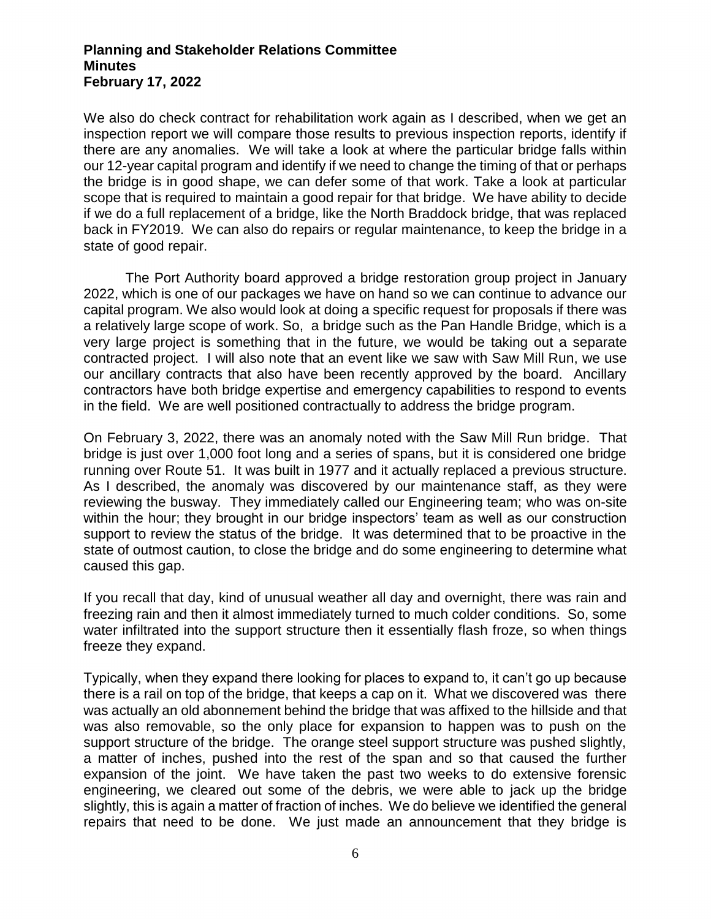We also do check contract for rehabilitation work again as I described, when we get an inspection report we will compare those results to previous inspection reports, identify if there are any anomalies. We will take a look at where the particular bridge falls within our 12-year capital program and identify if we need to change the timing of that or perhaps the bridge is in good shape, we can defer some of that work. Take a look at particular scope that is required to maintain a good repair for that bridge. We have ability to decide if we do a full replacement of a bridge, like the North Braddock bridge, that was replaced back in FY2019. We can also do repairs or regular maintenance, to keep the bridge in a state of good repair.

The Port Authority board approved a bridge restoration group project in January 2022, which is one of our packages we have on hand so we can continue to advance our capital program. We also would look at doing a specific request for proposals if there was a relatively large scope of work. So, a bridge such as the Pan Handle Bridge, which is a very large project is something that in the future, we would be taking out a separate contracted project. I will also note that an event like we saw with Saw Mill Run, we use our ancillary contracts that also have been recently approved by the board. Ancillary contractors have both bridge expertise and emergency capabilities to respond to events in the field. We are well positioned contractually to address the bridge program.

On February 3, 2022, there was an anomaly noted with the Saw Mill Run bridge. That bridge is just over 1,000 foot long and a series of spans, but it is considered one bridge running over Route 51. It was built in 1977 and it actually replaced a previous structure. As I described, the anomaly was discovered by our maintenance staff, as they were reviewing the busway. They immediately called our Engineering team; who was on-site within the hour; they brought in our bridge inspectors' team as well as our construction support to review the status of the bridge. It was determined that to be proactive in the state of outmost caution, to close the bridge and do some engineering to determine what caused this gap.

If you recall that day, kind of unusual weather all day and overnight, there was rain and freezing rain and then it almost immediately turned to much colder conditions. So, some water infiltrated into the support structure then it essentially flash froze, so when things freeze they expand.

Typically, when they expand there looking for places to expand to, it can't go up because there is a rail on top of the bridge, that keeps a cap on it. What we discovered was there was actually an old abonnement behind the bridge that was affixed to the hillside and that was also removable, so the only place for expansion to happen was to push on the support structure of the bridge. The orange steel support structure was pushed slightly, a matter of inches, pushed into the rest of the span and so that caused the further expansion of the joint. We have taken the past two weeks to do extensive forensic engineering, we cleared out some of the debris, we were able to jack up the bridge slightly, this is again a matter of fraction of inches. We do believe we identified the general repairs that need to be done. We just made an announcement that they bridge is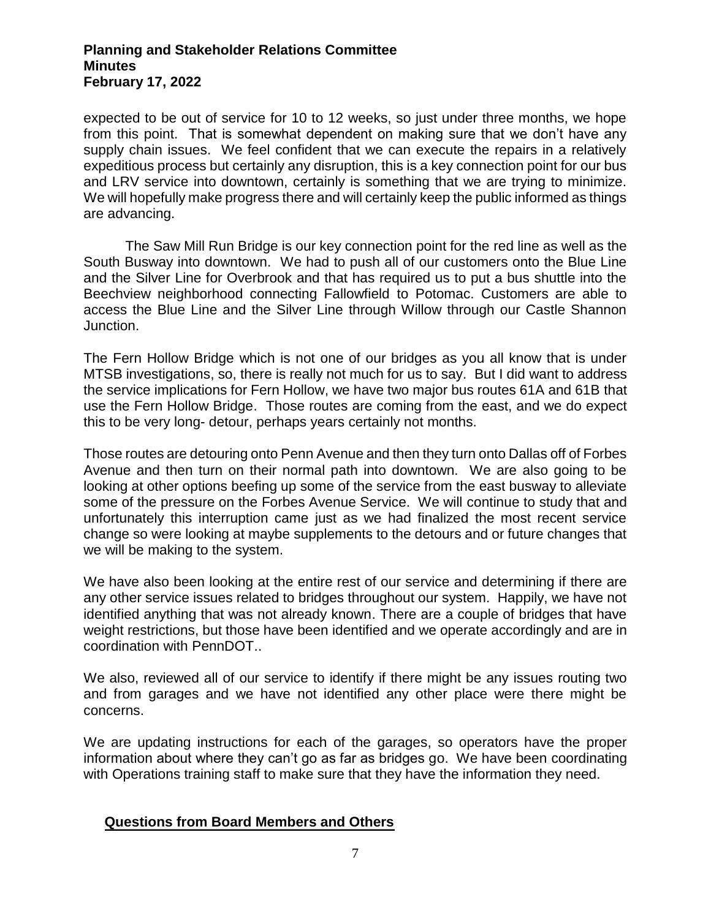expected to be out of service for 10 to 12 weeks, so just under three months, we hope from this point. That is somewhat dependent on making sure that we don't have any supply chain issues. We feel confident that we can execute the repairs in a relatively expeditious process but certainly any disruption, this is a key connection point for our bus and LRV service into downtown, certainly is something that we are trying to minimize. We will hopefully make progress there and will certainly keep the public informed as things are advancing.

The Saw Mill Run Bridge is our key connection point for the red line as well as the South Busway into downtown. We had to push all of our customers onto the Blue Line and the Silver Line for Overbrook and that has required us to put a bus shuttle into the Beechview neighborhood connecting Fallowfield to Potomac. Customers are able to access the Blue Line and the Silver Line through Willow through our Castle Shannon Junction.

The Fern Hollow Bridge which is not one of our bridges as you all know that is under MTSB investigations, so, there is really not much for us to say. But I did want to address the service implications for Fern Hollow, we have two major bus routes 61A and 61B that use the Fern Hollow Bridge. Those routes are coming from the east, and we do expect this to be very long- detour, perhaps years certainly not months.

Those routes are detouring onto Penn Avenue and then they turn onto Dallas off of Forbes Avenue and then turn on their normal path into downtown. We are also going to be looking at other options beefing up some of the service from the east busway to alleviate some of the pressure on the Forbes Avenue Service. We will continue to study that and unfortunately this interruption came just as we had finalized the most recent service change so were looking at maybe supplements to the detours and or future changes that we will be making to the system.

We have also been looking at the entire rest of our service and determining if there are any other service issues related to bridges throughout our system. Happily, we have not identified anything that was not already known. There are a couple of bridges that have weight restrictions, but those have been identified and we operate accordingly and are in coordination with PennDOT..

We also, reviewed all of our service to identify if there might be any issues routing two and from garages and we have not identified any other place were there might be concerns.

We are updating instructions for each of the garages, so operators have the proper information about where they can't go as far as bridges go. We have been coordinating with Operations training staff to make sure that they have the information they need.

# **Questions from Board Members and Others**